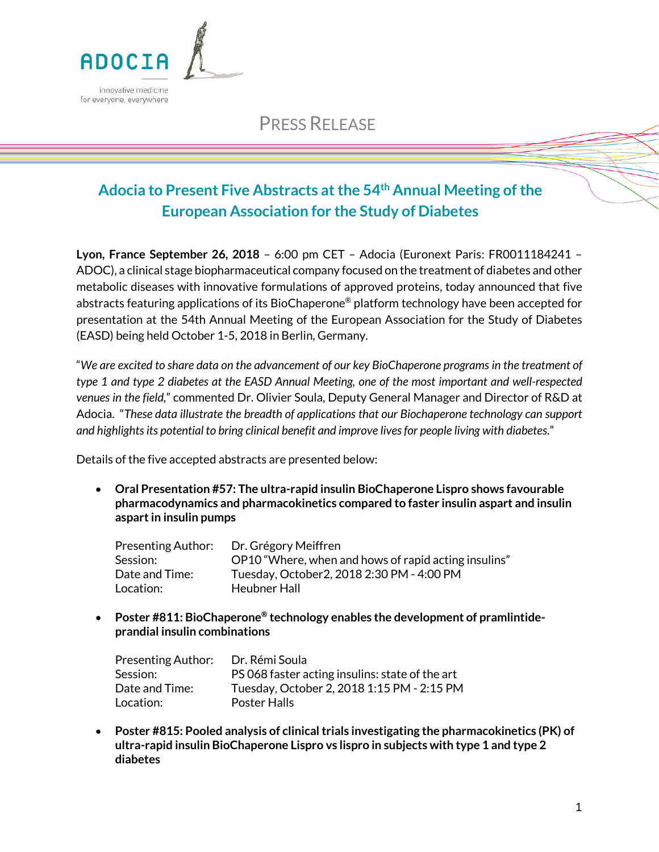

# PRESS RELEASE

## **Adocia to Present Five Abstracts at the 54th Annual Meeting of the European Association for the Study of Diabetes**

**Lyon, France September 26, 2018** – 6:00 pm CET – Adocia (Euronext Paris: FR0011184241 – ADOC), a clinical stage biopharmaceutical company focused on the treatment of diabetes and other metabolic diseases with innovative formulations of approved proteins, today announced that five abstracts featuring applications of its BioChaperone® platform technology have been accepted for presentation at the 54th Annual Meeting of the European Association for the Study of Diabetes (EASD) being held October 1-5, 2018 in Berlin, Germany.

"*We are excited to share data on the advancement of our key BioChaperone programs in the treatment of type 1 and type 2 diabetes at the EASD Annual Meeting, one of the most important and well-respected venues in the field,*" commented Dr. Olivier Soula, Deputy General Manager and Director of R&D at Adocia. "*These data illustrate the breadth of applications that our Biochaperone technology can support and highlights its potential to bring clinical benefit and improve livesfor people living with diabetes*."

Details of the five accepted abstracts are presented below:

• **Oral Presentation #57: The ultra-rapid insulin BioChaperone Lispro shows favourable pharmacodynamics and pharmacokinetics compared to faster insulin aspart and insulin aspart in insulin pumps**

| <b>Presenting Author:</b> | Dr. Grégory Meiffren                                 |
|---------------------------|------------------------------------------------------|
| Session:                  | OP10 "Where, when and hows of rapid acting insulins" |
| Date and Time:            | Tuesday, October 2, 2018 2:30 PM - 4:00 PM           |
| Location:                 | Heubner Hall                                         |

• **Poster #811: BioChaperone® technology enables the development of pramlintideprandial insulin combinations**

| <b>Presenting Author:</b> | Dr. Rémi Soula                                  |
|---------------------------|-------------------------------------------------|
| Session:                  | PS 068 faster acting insulins: state of the art |
| Date and Time:            | Tuesday, October 2, 2018 1:15 PM - 2:15 PM      |
| Location:                 | Poster Halls                                    |

• **Poster #815: Pooled analysis of clinical trials investigating the pharmacokinetics (PK) of ultra-rapid insulin BioChaperone Lispro vs lispro in subjects with type 1 and type 2 diabetes**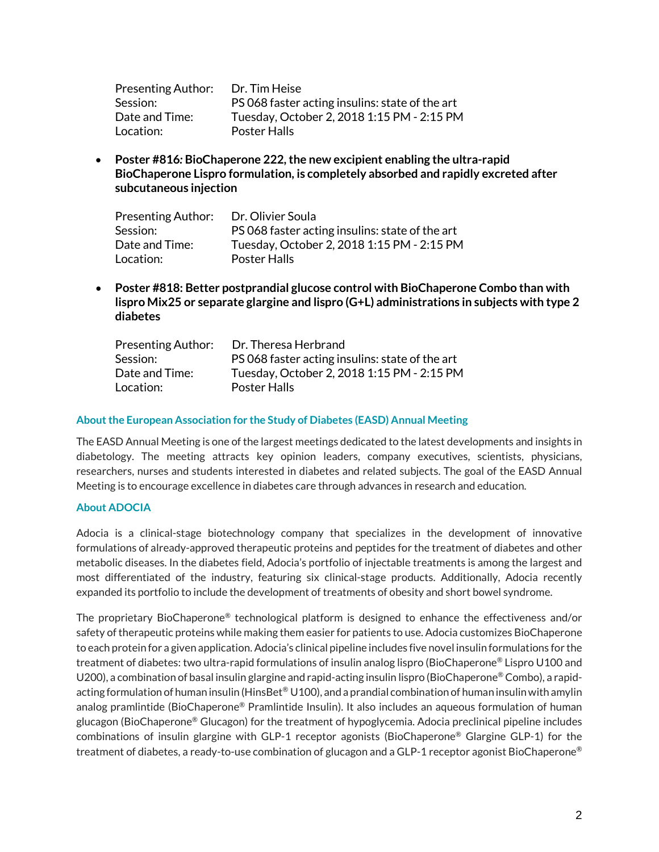| <b>Presenting Author:</b> | Dr. Tim Heise                                   |
|---------------------------|-------------------------------------------------|
| Session:                  | PS 068 faster acting insulins: state of the art |
| Date and Time:            | Tuesday, October 2, 2018 1:15 PM - 2:15 PM      |
| Location:                 | Poster Halls                                    |

• **Poster #816***:* **BioChaperone 222, the new excipient enabling the ultra-rapid BioChaperone Lispro formulation, is completely absorbed and rapidly excreted after subcutaneous injection**

| <b>Presenting Author:</b> | Dr. Olivier Soula                               |
|---------------------------|-------------------------------------------------|
| Session:                  | PS 068 faster acting insulins: state of the art |
| Date and Time:            | Tuesday, October 2, 2018 1:15 PM - 2:15 PM      |
| Location:                 | Poster Halls                                    |

• **Poster #818: Better postprandial glucose control with BioChaperone Combo than with lispro Mix25 or separate glargine and lispro (G+L) administrations in subjects with type 2 diabetes**

| <b>Presenting Author:</b> | Dr. Theresa Herbrand                            |
|---------------------------|-------------------------------------------------|
| Session:                  | PS 068 faster acting insulins: state of the art |
| Date and Time:            | Tuesday, October 2, 2018 1:15 PM - 2:15 PM      |
| Location:                 | Poster Halls                                    |

### **About the European Association for the Study of Diabetes (EASD) Annual Meeting**

The EASD Annual Meeting is one of the largest meetings dedicated to the latest developments and insights in diabetology. The meeting attracts key opinion leaders, company executives, scientists, physicians, researchers, nurses and students interested in diabetes and related subjects. The goal of the EASD Annual Meeting is to encourage excellence in diabetes care through advances in research and education.

#### **About ADOCIA**

Adocia is a clinical-stage biotechnology company that specializes in the development of innovative formulations of already-approved therapeutic proteins and peptides for the treatment of diabetes and other metabolic diseases. In the diabetes field, Adocia's portfolio of injectable treatments is among the largest and most differentiated of the industry, featuring six clinical-stage products. Additionally, Adocia recently expanded its portfolio to include the development of treatments of obesity and short bowel syndrome.

The proprietary BioChaperone® technological platform is designed to enhance the effectiveness and/or safety of therapeutic proteins while making them easier for patients to use. Adocia customizes BioChaperone to each protein for a given application. Adocia's clinical pipeline includes five novel insulin formulations for the treatment of diabetes: two ultra-rapid formulations of insulin analog lispro (BioChaperone® Lispro U100 and U200), a combination of basal insulin glargine and rapid-acting insulin lispro (BioChaperone® Combo), a rapidacting formulation of human insulin (HinsBet® U100), and a prandial combination of human insulin with amylin analog pramlintide (BioChaperone® Pramlintide Insulin). It also includes an aqueous formulation of human glucagon (BioChaperone® Glucagon) for the treatment of hypoglycemia. Adocia preclinical pipeline includes combinations of insulin glargine with GLP-1 receptor agonists (BioChaperone® Glargine GLP-1) for the treatment of diabetes, a ready-to-use combination of glucagon and a GLP-1 receptor agonist BioChaperone<sup>®</sup>